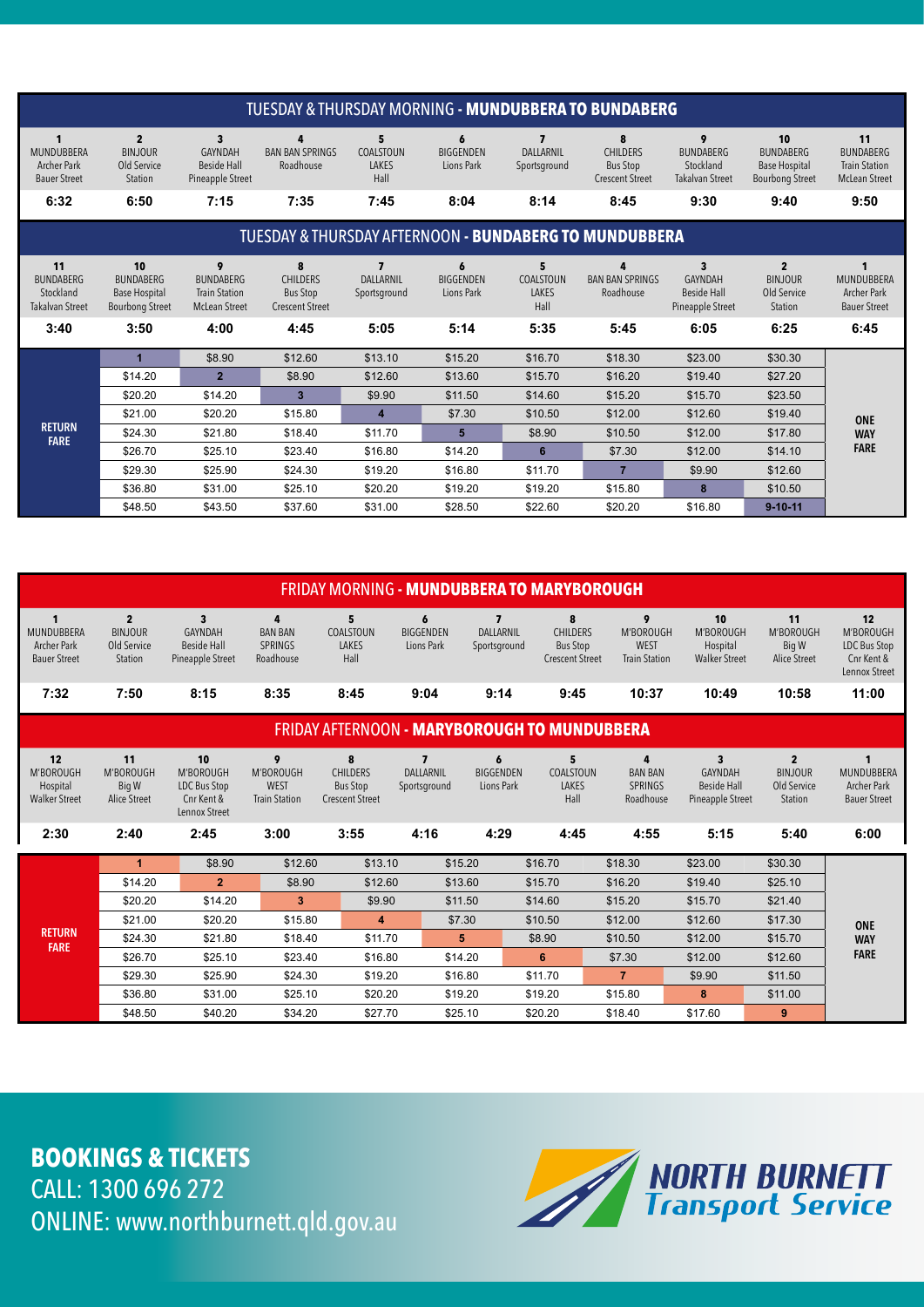# **BOOKINGS & TICKETS** CALL: 1300 696 272 ONLINE: www.northburnett.qld.gov.au



|                                                                                        |                                                                             |                                                                           |                                                                   |                                                      |                                             |                                                              | <b>TUESDAY &amp; THURSDAY MORNING - MUNDUBBERA TO BUNDABERG</b>           |                                                                          |                                                                                  |                                                                                |
|----------------------------------------------------------------------------------------|-----------------------------------------------------------------------------|---------------------------------------------------------------------------|-------------------------------------------------------------------|------------------------------------------------------|---------------------------------------------|--------------------------------------------------------------|---------------------------------------------------------------------------|--------------------------------------------------------------------------|----------------------------------------------------------------------------------|--------------------------------------------------------------------------------|
| $\mathbf{1}$<br><b>MUNDUBBERA</b><br><b>Archer Park</b><br><b>Bauer Street</b><br>6:32 | $\overline{\mathbf{2}}$<br><b>BINJOUR</b><br>Old Service<br>Station<br>6:50 | $\mathbf{3}$<br>GAYNDAH<br><b>Beside Hall</b><br>Pineapple Street<br>7:15 | 4<br><b>BAN BAN SPRINGS</b><br>Roadhouse<br>7:35                  | 5<br>COALSTOUN<br><b>LAKES</b><br>Hall<br>7:45       | 6<br><b>BIGGENDEN</b><br>Lions Park<br>8:04 | $\overline{\mathbf{z}}$<br>DALLARNIL<br>Sportsground<br>8:14 | 8<br><b>CHILDERS</b><br><b>Bus Stop</b><br><b>Crescent Street</b><br>8:45 | 9<br><b>BUNDABERG</b><br>Stockland<br><b>Takalvan Street</b><br>9:30     | 10<br><b>BUNDABERG</b><br><b>Base Hospital</b><br><b>Bourbong Street</b><br>9:40 | 11<br><b>BUNDABERG</b><br><b>Train Station</b><br><b>McLean Street</b><br>9:50 |
|                                                                                        |                                                                             |                                                                           |                                                                   |                                                      |                                             |                                                              |                                                                           |                                                                          |                                                                                  |                                                                                |
|                                                                                        |                                                                             |                                                                           |                                                                   |                                                      |                                             |                                                              | <b>TUESDAY &amp; THURSDAY AFTERNOON - BUNDABERG TO MUNDUBBERA</b>         |                                                                          |                                                                                  |                                                                                |
| 11<br><b>BUNDABERG</b><br>Stockland<br><b>Takalvan Street</b>                          | 10<br><b>BUNDABERG</b><br><b>Base Hospital</b><br><b>Bourbong Street</b>    | 9<br><b>BUNDABERG</b><br><b>Train Station</b><br><b>McLean Street</b>     | 8<br><b>CHILDERS</b><br><b>Bus Stop</b><br><b>Crescent Street</b> | $\overline{\mathbf{z}}$<br>DALLARNIL<br>Sportsground | 6<br><b>BIGGENDEN</b><br>Lions Park         | 5<br>COALSTOUN<br>LAKES<br>Hall                              | 4<br><b>BAN BAN SPRINGS</b><br>Roadhouse                                  | $\mathbf{3}$<br><b>GAYNDAH</b><br><b>Beside Hall</b><br>Pineapple Street | $\overline{2}$<br><b>BINJOUR</b><br>Old Service<br>Station                       | $\mathbf 1$<br>MUNDUBBERA<br><b>Archer Park</b><br><b>Bauer Street</b>         |
| 3:40                                                                                   | 3:50                                                                        | 4:00                                                                      | 4:45                                                              | 5:05                                                 | 5:14                                        | 5:35                                                         | 5:45                                                                      | 6:05                                                                     | 6:25                                                                             | 6:45                                                                           |
|                                                                                        | $\mathbf{1}$                                                                | \$8.90                                                                    | \$12.60                                                           | \$13.10                                              | \$15.20                                     | \$16.70                                                      | \$18.30                                                                   | \$23.00                                                                  | \$30.30                                                                          |                                                                                |
|                                                                                        | \$14.20                                                                     | $\overline{2}$                                                            | \$8.90                                                            | \$12.60                                              | \$13.60                                     | \$15.70                                                      | \$16.20                                                                   | \$19.40                                                                  | \$27.20                                                                          |                                                                                |
|                                                                                        | \$20.20                                                                     | \$14.20                                                                   | $\mathbf{3}$                                                      | \$9.90                                               | \$11.50                                     | \$14.60                                                      | \$15.20                                                                   | \$15.70                                                                  | \$23.50                                                                          |                                                                                |
|                                                                                        | \$21.00                                                                     | \$20.20                                                                   | \$15.80                                                           | $\boldsymbol{A}$                                     | \$7.30                                      | \$10.50                                                      | \$12.00                                                                   | \$12.60                                                                  | \$19.40                                                                          | <b>ONE</b>                                                                     |
| <b>RETURN</b><br><b>FARE</b>                                                           | \$24.30                                                                     | \$21.80                                                                   | \$18.40                                                           | \$11.70                                              | 5                                           | \$8.90                                                       | \$10.50                                                                   | \$12.00                                                                  | \$17.80                                                                          | <b>WAY</b>                                                                     |
|                                                                                        | \$26.70                                                                     | \$25.10                                                                   | \$23.40                                                           | \$16.80                                              | \$14.20                                     | $6\phantom{a}$                                               | \$7.30                                                                    | \$12.00                                                                  | \$14.10                                                                          | <b>FARE</b>                                                                    |
|                                                                                        | \$29.30                                                                     | \$25.90                                                                   | \$24.30                                                           | \$19.20                                              | \$16.80                                     | \$11.70                                                      | $\overline{7}$                                                            | \$9.90                                                                   | \$12.60                                                                          |                                                                                |
|                                                                                        | \$36.80                                                                     | \$31.00                                                                   | \$25.10                                                           | \$20.20                                              | \$19.20                                     | \$19.20                                                      | \$15.80                                                                   | 8                                                                        | \$10.50                                                                          |                                                                                |
|                                                                                        | \$48.50                                                                     | \$43.50                                                                   | \$37.60                                                           | \$31.00                                              | \$28.50                                     | \$22.60                                                      | \$20.20                                                                   | \$16.80                                                                  | $9 - 10 - 11$                                                                    |                                                                                |

| <b>FRIDAY MORNING - MUNDUBBERA TO MARYBOROUGH</b>                              |                                                            |                                                                                     |                                                       |                                                                   |                                                    |                                                      |                                                                   |                                                       |                                                                              |                                                            |                                                                                |  |
|--------------------------------------------------------------------------------|------------------------------------------------------------|-------------------------------------------------------------------------------------|-------------------------------------------------------|-------------------------------------------------------------------|----------------------------------------------------|------------------------------------------------------|-------------------------------------------------------------------|-------------------------------------------------------|------------------------------------------------------------------------------|------------------------------------------------------------|--------------------------------------------------------------------------------|--|
| $\mathbf{1}$<br><b>MUNDUBBERA</b><br><b>Archer Park</b><br><b>Bauer Street</b> | $\overline{2}$<br><b>BINJOUR</b><br>Old Service<br>Station | $\overline{\mathbf{3}}$<br><b>GAYNDAH</b><br><b>Beside Hall</b><br>Pineapple Street | 4<br><b>BAN BAN</b><br>SPRINGS<br>Roadhouse           | 5 <sup>5</sup><br>COALSTOUN<br>LAKES<br>Hall                      | $\boldsymbol{6}$<br><b>BIGGENDEN</b><br>Lions Park | $\overline{\mathbf{z}}$<br>DALLARNIL<br>Sportsground | 8<br><b>CHILDERS</b><br><b>Bus Stop</b><br><b>Crescent Street</b> | 9<br>M'BOROUGH<br><b>WEST</b><br><b>Train Station</b> | 10<br>M'BOROUGH<br>Hospital<br><b>Walker Street</b>                          | 11<br>M'BOROUGH<br>Big W<br><b>Alice Street</b>            | 12<br>M'BOROUGH<br>LDC Bus Stop<br>Cnr Kent &<br>Lennox Street                 |  |
| 7:32                                                                           | 7:50                                                       | 8:15                                                                                | 8:35                                                  | 8:45                                                              | 9:04                                               | 9:14                                                 | 9:45                                                              | 10:37                                                 | 10:49                                                                        | 10:58                                                      | 11:00                                                                          |  |
|                                                                                |                                                            |                                                                                     |                                                       | <b>FRIDAY AFTERNOON - MARYBOROUGH TO MUNDUBBERA</b>               |                                                    |                                                      |                                                                   |                                                       |                                                                              |                                                            |                                                                                |  |
| 12<br>M'BOROUGH<br>Hospital<br><b>Walker Street</b>                            | 11<br>M'BOROUGH<br>Big W<br>Alice Street                   | 10<br>M'BOROUGH<br>LDC Bus Stop<br>Cnr Kent &<br>Lennox Street                      | 9<br>M'BOROUGH<br><b>WEST</b><br><b>Train Station</b> | 8<br><b>CHILDERS</b><br><b>Bus Stop</b><br><b>Crescent Street</b> | $\overline{7}$<br>DALLARNIL<br>Sportsground        | 6<br><b>BIGGENDEN</b><br>Lions Park                  | $5\phantom{a}$<br>COALSTOUN<br>LAKES<br>Hall                      | 4<br><b>BAN BAN</b><br><b>SPRINGS</b><br>Roadhouse    | $\overline{\mathbf{3}}$<br>GAYNDAH<br><b>Beside Hall</b><br>Pineapple Street | $\overline{2}$<br><b>BINJOUR</b><br>Old Service<br>Station | $\mathbf{1}$<br><b>MUNDUBBERA</b><br><b>Archer Park</b><br><b>Bauer Street</b> |  |
| 2:30                                                                           | 2:40                                                       | 2:45                                                                                | 3:00                                                  | 3:55                                                              | 4:16                                               | 4:29                                                 | 4:45                                                              | 4:55                                                  | 5:15                                                                         | 5:40                                                       | 6:00                                                                           |  |
|                                                                                | $\mathbf{1}$                                               | \$8.90                                                                              | \$12.60                                               | \$13.10                                                           |                                                    | \$15.20                                              | \$16.70                                                           | \$18.30                                               | \$23.00                                                                      | \$30.30                                                    |                                                                                |  |
|                                                                                | \$14.20                                                    | $\overline{2}$                                                                      | \$8.90                                                | \$12.60                                                           |                                                    | \$13.60                                              | \$15.70                                                           | \$16.20                                               | \$19.40                                                                      | \$25.10                                                    |                                                                                |  |
| <b>RETURN</b><br><b>FARE</b>                                                   | \$20.20                                                    | \$14.20                                                                             | 3                                                     | \$9.90                                                            |                                                    | \$11.50                                              | \$14.60                                                           | \$15.20                                               | \$15.70                                                                      | \$21.40                                                    |                                                                                |  |
|                                                                                | \$21.00                                                    | \$20.20                                                                             | \$15.80                                               | $\overline{\mathbf{4}}$                                           | \$7.30                                             |                                                      | \$10.50                                                           | \$12.00                                               | \$12.60                                                                      | \$17.30                                                    | <b>ONE</b>                                                                     |  |
|                                                                                | \$24.30                                                    | \$21.80                                                                             | \$18.40                                               | \$11.70                                                           |                                                    | 5 <sup>5</sup>                                       | \$8.90                                                            | \$10.50                                               | \$12.00                                                                      | \$15.70                                                    | <b>WAY</b>                                                                     |  |
|                                                                                | \$26.70                                                    | \$25.10                                                                             | \$23.40                                               | \$16.80                                                           |                                                    | \$14.20                                              | 6                                                                 | \$7.30                                                | \$12.00                                                                      | \$12.60                                                    | <b>FARE</b>                                                                    |  |
|                                                                                | \$29.30                                                    | \$25.90                                                                             | \$24.30                                               | \$19.20                                                           |                                                    | \$16.80                                              | \$11.70                                                           | $\overline{7}$                                        | \$9.90                                                                       | \$11.50                                                    |                                                                                |  |
|                                                                                | \$36.80                                                    | \$31.00                                                                             | \$25.10                                               | \$20.20                                                           |                                                    | \$19.20                                              | \$19.20                                                           | \$15.80                                               | 8                                                                            | \$11.00                                                    |                                                                                |  |
|                                                                                | \$48.50                                                    | \$40.20                                                                             | \$34.20                                               | \$27.70                                                           |                                                    | \$25.10                                              | \$20.20                                                           | \$18.40                                               | \$17.60                                                                      | 9                                                          |                                                                                |  |